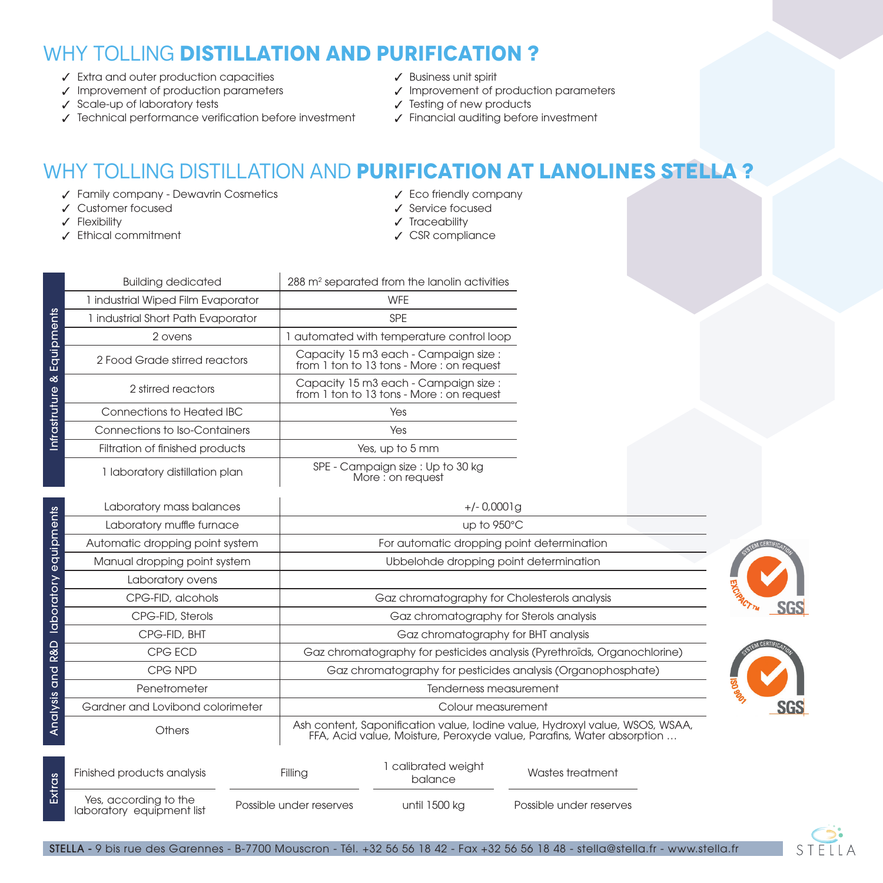## WHY TOLLING **DISTILLATION AND PURIFICATION ?**

- Extra and outer production capacities ✓
- Improvement of production parameters ✓
- ✓ Scale-up of laboratory tests
- Technical performance verification before investment ✓
- Business unit spirit ✓
- Improvement of production parameters ✓
- Testing of new products ✓
- Financial auditing before investment ✓

## WHY TOLLING DISTILLATION AND **PURIFICATION AT LANOLINES STELLA ?**

- Family company Dewavrin Cosmetics ✓
- Customer focused ✓
- Flexibility ✓

**Extras** 

Ethical commitment ✓

- Eco friendly company ✓
- ✓ Service focused
- ✔ Traceability
- CSR compliance ✓

|               | <b>Building dedicated</b>          | 288 m <sup>2</sup> separated from the lanolin activities                                                                                              |  |
|---------------|------------------------------------|-------------------------------------------------------------------------------------------------------------------------------------------------------|--|
|               | 1 industrial Wiped Film Evaporator | <b>WFE</b>                                                                                                                                            |  |
|               | 1 industrial Short Path Evaporator | <b>SPE</b>                                                                                                                                            |  |
|               | 2 ovens                            | 1 automated with temperature control loop                                                                                                             |  |
| Equipments    | 2 Food Grade stirred reactors      | Capacity 15 m3 each - Campaign size :<br>from 1 ton to 13 tons - More : on request                                                                    |  |
| త             | 2 stirred reactors                 | Capacity 15 m3 each - Campaign size :<br>from 1 ton to 13 tons - More : on request                                                                    |  |
| Infrastruture | Connections to Heated IBC          | Yes                                                                                                                                                   |  |
|               | Connections to Iso-Containers      | Yes                                                                                                                                                   |  |
|               | Filtration of finished products    | Yes, up to 5 mm                                                                                                                                       |  |
|               | 1 laboratory distillation plan     | SPE - Campaign size : Up to 30 kg<br>More : on request                                                                                                |  |
|               | Laboratory mass balances           | $+/- 0.0001$ g                                                                                                                                        |  |
| equipments    | Laboratory muffle furnace          | up to 950°C                                                                                                                                           |  |
|               | Automatic dropping point system    | For automatic dropping point determination                                                                                                            |  |
|               | Manual dropping point system       | Ubbelohde dropping point determination                                                                                                                |  |
|               | Laboratory ovens                   |                                                                                                                                                       |  |
| laboratory    | CPG-FID, alcohols                  | Gaz chromatography for Cholesterols analysis                                                                                                          |  |
|               | CPG-FID, Sterols                   | Gaz chromatography for Sterols analysis                                                                                                               |  |
|               | CPG-FID, BHT                       | Gaz chromatography for BHT analysis                                                                                                                   |  |
| R&D           | CPG ECD                            | Gaz chromatography for pesticides analysis (Pyrethroïds, Organochlorine)                                                                              |  |
| and           | CPG NPD                            | Gaz chromatography for pesticides analysis (Organophosphate)                                                                                          |  |
|               | Penetrometer                       | Tenderness measurement                                                                                                                                |  |
|               | Gardner and Lovibond colorimeter   | Colour measurement                                                                                                                                    |  |
| Analysis      | Others                             | Ash content, Saponification value, Iodine value, Hydroxyl value, WSOS, WSAA,<br>FFA, Acid value, Moisture, Peroxyde value, Parafins, Water absorption |  |





Finished products analysis Yes, according to the laboratory equipment list Filling Possible under reserves 1 calibrated weight balance until 1500 kg Wastes treatment Possible under reserves